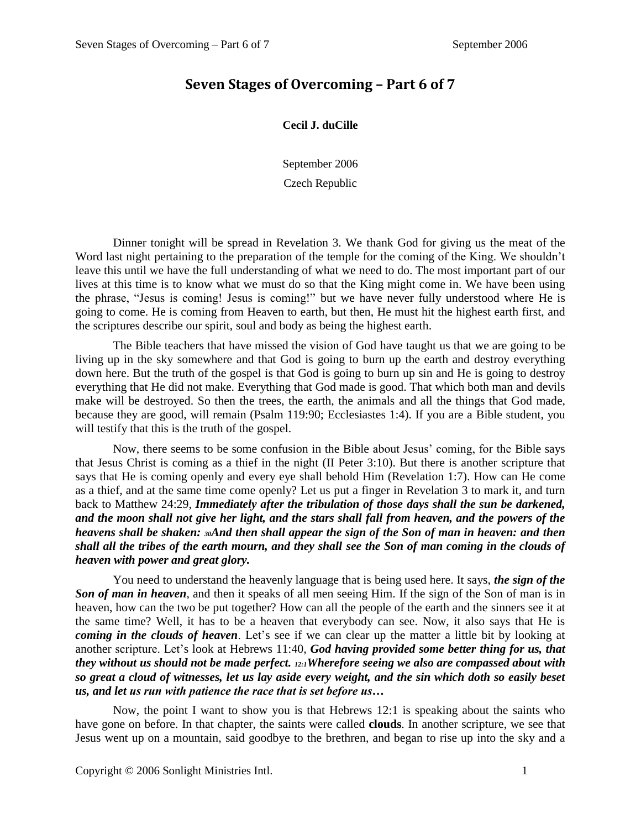## **Seven Stages of Overcoming – Part 6 of 7**

## **Cecil J. duCille**

September 2006

## Czech Republic

Dinner tonight will be spread in Revelation 3. We thank God for giving us the meat of the Word last night pertaining to the preparation of the temple for the coming of the King. We shouldn't leave this until we have the full understanding of what we need to do. The most important part of our lives at this time is to know what we must do so that the King might come in. We have been using the phrase, "Jesus is coming! Jesus is coming!" but we have never fully understood where He is going to come. He is coming from Heaven to earth, but then, He must hit the highest earth first, and the scriptures describe our spirit, soul and body as being the highest earth.

The Bible teachers that have missed the vision of God have taught us that we are going to be living up in the sky somewhere and that God is going to burn up the earth and destroy everything down here. But the truth of the gospel is that God is going to burn up sin and He is going to destroy everything that He did not make. Everything that God made is good. That which both man and devils make will be destroyed. So then the trees, the earth, the animals and all the things that God made, because they are good, will remain (Psalm 119:90; Ecclesiastes 1:4). If you are a Bible student, you will testify that this is the truth of the gospel.

Now, there seems to be some confusion in the Bible about Jesus' coming, for the Bible says that Jesus Christ is coming as a thief in the night (II Peter 3:10). But there is another scripture that says that He is coming openly and every eye shall behold Him (Revelation 1:7). How can He come as a thief, and at the same time come openly? Let us put a finger in Revelation 3 to mark it, and turn back to Matthew 24:29, *Immediately after the tribulation of those days shall the sun be darkened, and the moon shall not give her light, and the stars shall fall from heaven, and the powers of the heavens shall be shaken: 30And then shall appear the sign of the Son of man in heaven: and then shall all the tribes of the earth mourn, and they shall see the Son of man coming in the clouds of heaven with power and great glory.*

You need to understand the heavenly language that is being used here. It says, *the sign of the Son of man in heaven*, and then it speaks of all men seeing Him. If the sign of the Son of man is in heaven, how can the two be put together? How can all the people of the earth and the sinners see it at the same time? Well, it has to be a heaven that everybody can see. Now, it also says that He is *coming in the clouds of heaven*. Let's see if we can clear up the matter a little bit by looking at another scripture. Let's look at Hebrews 11:40, *God having provided some better thing for us, that they without us should not be made perfect. 12:1Wherefore seeing we also are compassed about with so great a cloud of witnesses, let us lay aside every weight, and the sin which doth so easily beset us, and let us run with patience the race that is set before us…*

Now, the point I want to show you is that Hebrews 12:1 is speaking about the saints who have gone on before. In that chapter, the saints were called **clouds**. In another scripture, we see that Jesus went up on a mountain, said goodbye to the brethren, and began to rise up into the sky and a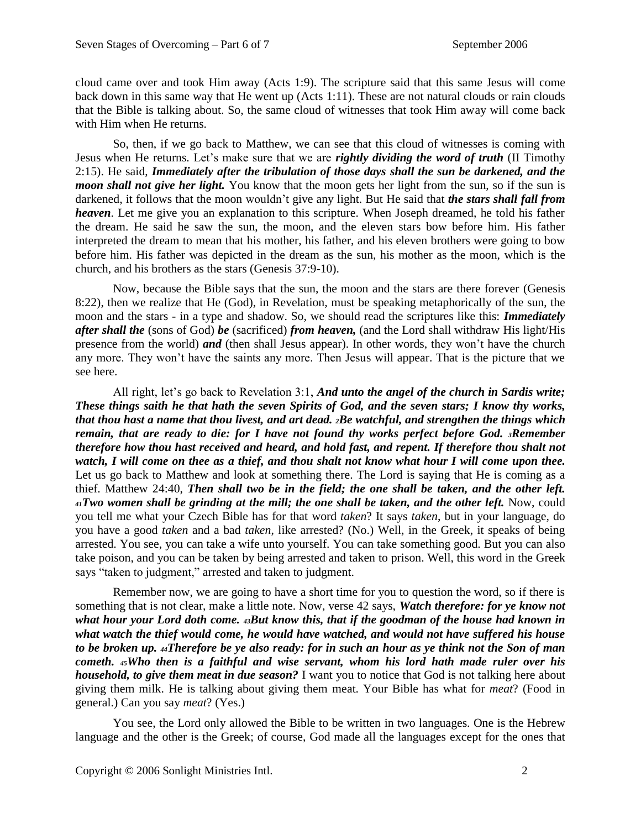cloud came over and took Him away (Acts 1:9). The scripture said that this same Jesus will come back down in this same way that He went up (Acts 1:11). These are not natural clouds or rain clouds that the Bible is talking about. So, the same cloud of witnesses that took Him away will come back with Him when He returns.

So, then, if we go back to Matthew, we can see that this cloud of witnesses is coming with Jesus when He returns. Let's make sure that we are *rightly dividing the word of truth* (II Timothy 2:15). He said, *Immediately after the tribulation of those days shall the sun be darkened, and the moon shall not give her light.* You know that the moon gets her light from the sun, so if the sun is darkened, it follows that the moon wouldn't give any light. But He said that *the stars shall fall from heaven*. Let me give you an explanation to this scripture. When Joseph dreamed, he told his father the dream. He said he saw the sun, the moon, and the eleven stars bow before him. His father interpreted the dream to mean that his mother, his father, and his eleven brothers were going to bow before him. His father was depicted in the dream as the sun, his mother as the moon, which is the church, and his brothers as the stars (Genesis 37:9-10).

Now, because the Bible says that the sun, the moon and the stars are there forever (Genesis 8:22), then we realize that He (God), in Revelation, must be speaking metaphorically of the sun, the moon and the stars - in a type and shadow. So, we should read the scriptures like this: *Immediately after shall the* (sons of God) *be* (sacrificed) *from heaven,* (and the Lord shall withdraw His light/His presence from the world) *and* (then shall Jesus appear). In other words, they won't have the church any more. They won't have the saints any more. Then Jesus will appear. That is the picture that we see here.

All right, let's go back to Revelation 3:1, *And unto the angel of the church in Sardis write; These things saith he that hath the seven Spirits of God, and the seven stars; I know thy works, that thou hast a name that thou livest, and art dead. 2Be watchful, and strengthen the things which remain, that are ready to die: for I have not found thy works perfect before God. 3Remember therefore how thou hast received and heard, and hold fast, and repent. If therefore thou shalt not watch, I will come on thee as a thief, and thou shalt not know what hour I will come upon thee.*  Let us go back to Matthew and look at something there. The Lord is saying that He is coming as a thief. Matthew 24:40, *Then shall two be in the field; the one shall be taken, and the other left. <sup>41</sup>Two women shall be grinding at the mill; the one shall be taken, and the other left.* Now, could you tell me what your Czech Bible has for that word *taken*? It says *taken*, but in your language, do you have a good *taken* and a bad *taken*, like arrested? (No.) Well, in the Greek, it speaks of being arrested. You see, you can take a wife unto yourself. You can take something good. But you can also take poison, and you can be taken by being arrested and taken to prison. Well, this word in the Greek says "taken to judgment," arrested and taken to judgment.

Remember now, we are going to have a short time for you to question the word, so if there is something that is not clear, make a little note. Now, verse 42 says, *Watch therefore: for ye know not what hour your Lord doth come. 43But know this, that if the goodman of the house had known in what watch the thief would come, he would have watched, and would not have suffered his house to be broken up. 44Therefore be ye also ready: for in such an hour as ye think not the Son of man cometh. 45Who then is a faithful and wise servant, whom his lord hath made ruler over his household, to give them meat in due season?* I want you to notice that God is not talking here about giving them milk. He is talking about giving them meat. Your Bible has what for *meat*? (Food in general.) Can you say *meat*? (Yes.)

You see, the Lord only allowed the Bible to be written in two languages. One is the Hebrew language and the other is the Greek; of course, God made all the languages except for the ones that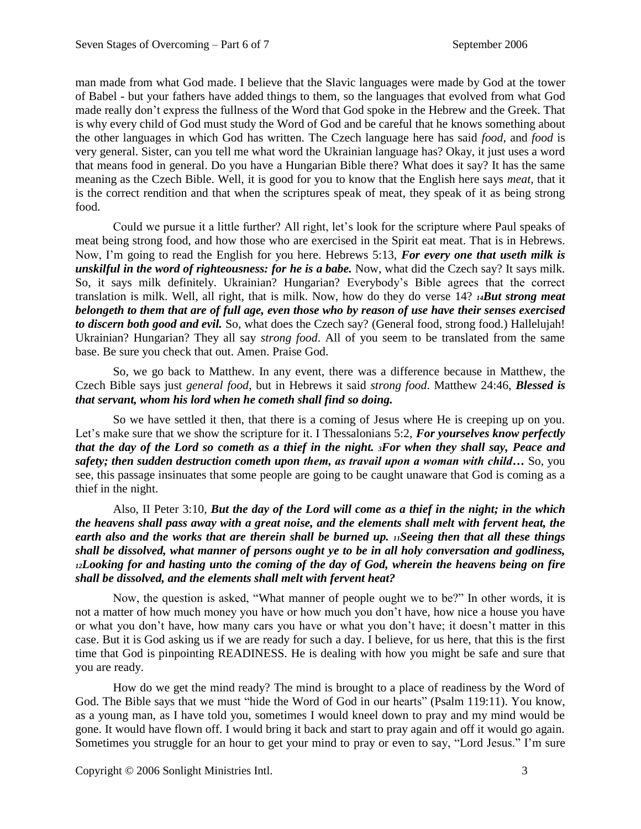man made from what God made. I believe that the Slavic languages were made by God at the tower of Babel - but your fathers have added things to them, so the languages that evolved from what God made really don't express the fullness of the Word that God spoke in the Hebrew and the Greek. That is why every child of God must study the Word of God and be careful that he knows something about the other languages in which God has written. The Czech language here has said *food*, and *food* is very general. Sister, can you tell me what word the Ukrainian language has? Okay, it just uses a word that means food in general. Do you have a Hungarian Bible there? What does it say? It has the same meaning as the Czech Bible. Well, it is good for you to know that the English here says *meat*, that it is the correct rendition and that when the scriptures speak of meat, they speak of it as being strong food.

Could we pursue it a little further? All right, let's look for the scripture where Paul speaks of meat being strong food, and how those who are exercised in the Spirit eat meat. That is in Hebrews. Now, I'm going to read the English for you here. Hebrews 5:13, *For every one that useth milk is unskilful in the word of righteousness: for he is a babe.* Now, what did the Czech say? It says milk. So, it says milk definitely. Ukrainian? Hungarian? Everybody's Bible agrees that the correct translation is milk. Well, all right, that is milk. Now, how do they do verse 14? *14But strong meat belongeth to them that are of full age, even those who by reason of use have their senses exercised to discern both good and evil.* So, what does the Czech say? (General food, strong food.) Hallelujah! Ukrainian? Hungarian? They all say *strong food*. All of you seem to be translated from the same base. Be sure you check that out. Amen. Praise God.

So, we go back to Matthew. In any event, there was a difference because in Matthew, the Czech Bible says just *general food*, but in Hebrews it said *strong food*. Matthew 24:46, *Blessed is that servant, whom his lord when he cometh shall find so doing.*

So we have settled it then, that there is a coming of Jesus where He is creeping up on you. Let's make sure that we show the scripture for it. I Thessalonians 5:2, *For yourselves know perfectly that the day of the Lord so cometh as a thief in the night. 3For when they shall say, Peace and safety; then sudden destruction cometh upon them, as travail upon a woman with child…* So, you see, this passage insinuates that some people are going to be caught unaware that God is coming as a thief in the night.

Also, II Peter 3:10, *But the day of the Lord will come as a thief in the night; in the which the heavens shall pass away with a great noise, and the elements shall melt with fervent heat, the earth also and the works that are therein shall be burned up. 11Seeing then that all these things shall be dissolved, what manner of persons ought ye to be in all holy conversation and godliness, <sup>12</sup>Looking for and hasting unto the coming of the day of God, wherein the heavens being on fire shall be dissolved, and the elements shall melt with fervent heat?*

Now, the question is asked, "What manner of people ought we to be?" In other words, it is not a matter of how much money you have or how much you don't have, how nice a house you have or what you don't have, how many cars you have or what you don't have; it doesn't matter in this case. But it is God asking us if we are ready for such a day. I believe, for us here, that this is the first time that God is pinpointing READINESS. He is dealing with how you might be safe and sure that you are ready.

How do we get the mind ready? The mind is brought to a place of readiness by the Word of God. The Bible says that we must "hide the Word of God in our hearts" (Psalm 119:11). You know, as a young man, as I have told you, sometimes I would kneel down to pray and my mind would be gone. It would have flown off. I would bring it back and start to pray again and off it would go again. Sometimes you struggle for an hour to get your mind to pray or even to say, "Lord Jesus." I'm sure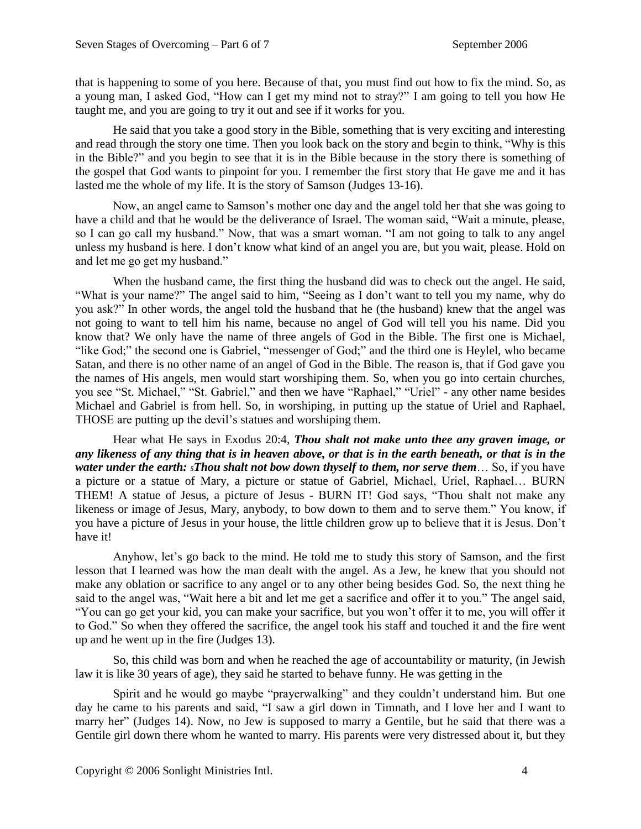that is happening to some of you here. Because of that, you must find out how to fix the mind. So, as a young man, I asked God, "How can I get my mind not to stray?" I am going to tell you how He taught me, and you are going to try it out and see if it works for you.

He said that you take a good story in the Bible, something that is very exciting and interesting and read through the story one time. Then you look back on the story and begin to think, "Why is this in the Bible?" and you begin to see that it is in the Bible because in the story there is something of the gospel that God wants to pinpoint for you. I remember the first story that He gave me and it has lasted me the whole of my life. It is the story of Samson (Judges 13-16).

Now, an angel came to Samson's mother one day and the angel told her that she was going to have a child and that he would be the deliverance of Israel. The woman said, "Wait a minute, please, so I can go call my husband." Now, that was a smart woman. "I am not going to talk to any angel unless my husband is here. I don't know what kind of an angel you are, but you wait, please. Hold on and let me go get my husband."

When the husband came, the first thing the husband did was to check out the angel. He said, "What is your name?" The angel said to him, "Seeing as I don't want to tell you my name, why do you ask?" In other words, the angel told the husband that he (the husband) knew that the angel was not going to want to tell him his name, because no angel of God will tell you his name. Did you know that? We only have the name of three angels of God in the Bible. The first one is Michael, "like God;" the second one is Gabriel, "messenger of God;" and the third one is Heylel, who became Satan, and there is no other name of an angel of God in the Bible. The reason is, that if God gave you the names of His angels, men would start worshiping them. So, when you go into certain churches, you see "St. Michael," "St. Gabriel," and then we have "Raphael," "Uriel" - any other name besides Michael and Gabriel is from hell. So, in worshiping, in putting up the statue of Uriel and Raphael, THOSE are putting up the devil's statues and worshiping them.

Hear what He says in Exodus 20:4, *Thou shalt not make unto thee any graven image, or any likeness of any thing that is in heaven above, or that is in the earth beneath, or that is in the water under the earth: 5Thou shalt not bow down thyself to them, nor serve them*… So, if you have a picture or a statue of Mary, a picture or statue of Gabriel, Michael, Uriel, Raphael… BURN THEM! A statue of Jesus, a picture of Jesus - BURN IT! God says, "Thou shalt not make any likeness or image of Jesus, Mary, anybody, to bow down to them and to serve them." You know, if you have a picture of Jesus in your house, the little children grow up to believe that it is Jesus. Don't have it!

Anyhow, let's go back to the mind. He told me to study this story of Samson, and the first lesson that I learned was how the man dealt with the angel. As a Jew, he knew that you should not make any oblation or sacrifice to any angel or to any other being besides God. So, the next thing he said to the angel was, "Wait here a bit and let me get a sacrifice and offer it to you." The angel said, "You can go get your kid, you can make your sacrifice, but you won't offer it to me, you will offer it to God." So when they offered the sacrifice, the angel took his staff and touched it and the fire went up and he went up in the fire (Judges 13).

So, this child was born and when he reached the age of accountability or maturity, (in Jewish law it is like 30 years of age), they said he started to behave funny. He was getting in the

Spirit and he would go maybe "prayerwalking" and they couldn't understand him. But one day he came to his parents and said, "I saw a girl down in Timnath, and I love her and I want to marry her" (Judges 14). Now, no Jew is supposed to marry a Gentile, but he said that there was a Gentile girl down there whom he wanted to marry. His parents were very distressed about it, but they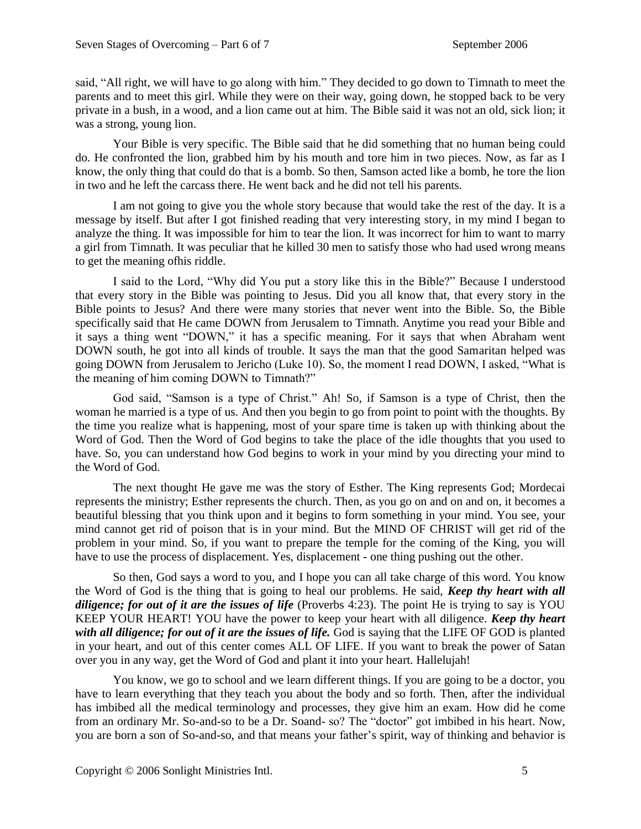said, "All right, we will have to go along with him." They decided to go down to Timnath to meet the parents and to meet this girl. While they were on their way, going down, he stopped back to be very private in a bush, in a wood, and a lion came out at him. The Bible said it was not an old, sick lion; it was a strong, young lion.

Your Bible is very specific. The Bible said that he did something that no human being could do. He confronted the lion, grabbed him by his mouth and tore him in two pieces. Now, as far as I know, the only thing that could do that is a bomb. So then, Samson acted like a bomb, he tore the lion in two and he left the carcass there. He went back and he did not tell his parents.

I am not going to give you the whole story because that would take the rest of the day. It is a message by itself. But after I got finished reading that very interesting story, in my mind I began to analyze the thing. It was impossible for him to tear the lion. It was incorrect for him to want to marry a girl from Timnath. It was peculiar that he killed 30 men to satisfy those who had used wrong means to get the meaning ofhis riddle.

I said to the Lord, "Why did You put a story like this in the Bible?" Because I understood that every story in the Bible was pointing to Jesus. Did you all know that, that every story in the Bible points to Jesus? And there were many stories that never went into the Bible. So, the Bible specifically said that He came DOWN from Jerusalem to Timnath. Anytime you read your Bible and it says a thing went "DOWN," it has a specific meaning. For it says that when Abraham went DOWN south, he got into all kinds of trouble. It says the man that the good Samaritan helped was going DOWN from Jerusalem to Jericho (Luke 10). So, the moment I read DOWN, I asked, "What is the meaning of him coming DOWN to Timnath?"

God said, "Samson is a type of Christ." Ah! So, if Samson is a type of Christ, then the woman he married is a type of us. And then you begin to go from point to point with the thoughts. By the time you realize what is happening, most of your spare time is taken up with thinking about the Word of God. Then the Word of God begins to take the place of the idle thoughts that you used to have. So, you can understand how God begins to work in your mind by you directing your mind to the Word of God.

The next thought He gave me was the story of Esther. The King represents God; Mordecai represents the ministry; Esther represents the church. Then, as you go on and on and on, it becomes a beautiful blessing that you think upon and it begins to form something in your mind. You see, your mind cannot get rid of poison that is in your mind. But the MIND OF CHRIST will get rid of the problem in your mind. So, if you want to prepare the temple for the coming of the King, you will have to use the process of displacement. Yes, displacement - one thing pushing out the other.

So then, God says a word to you, and I hope you can all take charge of this word. You know the Word of God is the thing that is going to heal our problems. He said, *Keep thy heart with all diligence; for out of it are the issues of life* (Proverbs 4:23). The point He is trying to say is YOU KEEP YOUR HEART! YOU have the power to keep your heart with all diligence. *Keep thy heart with all diligence; for out of it are the issues of life.* God is saying that the LIFE OF GOD is planted in your heart, and out of this center comes ALL OF LIFE. If you want to break the power of Satan over you in any way, get the Word of God and plant it into your heart. Hallelujah!

You know, we go to school and we learn different things. If you are going to be a doctor, you have to learn everything that they teach you about the body and so forth. Then, after the individual has imbibed all the medical terminology and processes, they give him an exam. How did he come from an ordinary Mr. So-and-so to be a Dr. Soand- so? The "doctor" got imbibed in his heart. Now, you are born a son of So-and-so, and that means your father's spirit, way of thinking and behavior is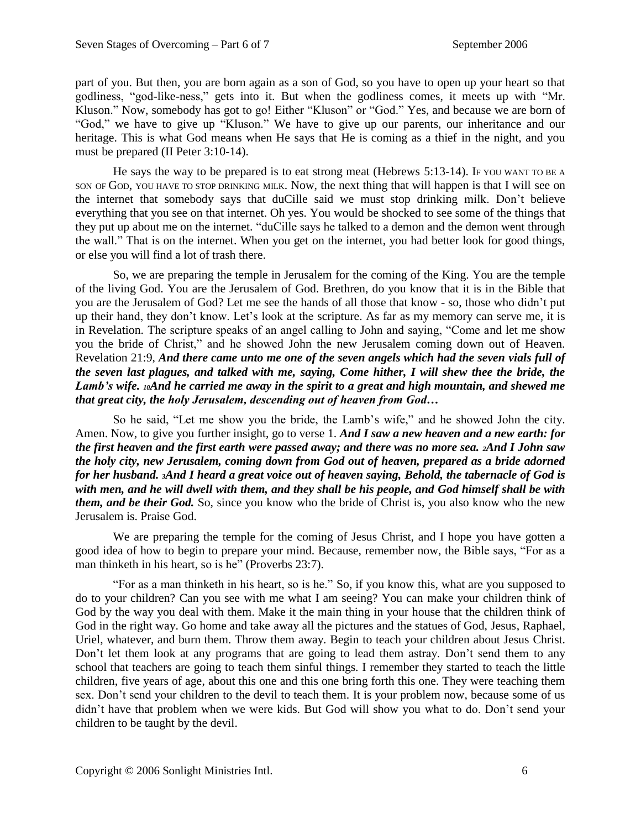part of you. But then, you are born again as a son of God, so you have to open up your heart so that godliness, "god-like-ness," gets into it. But when the godliness comes, it meets up with "Mr. Kluson." Now, somebody has got to go! Either "Kluson" or "God." Yes, and because we are born of "God," we have to give up "Kluson." We have to give up our parents, our inheritance and our heritage. This is what God means when He says that He is coming as a thief in the night, and you must be prepared (II Peter 3:10-14).

He says the way to be prepared is to eat strong meat (Hebrews 5:13-14). If YOU WANT TO BE A SON OF GOD, YOU HAVE TO STOP DRINKING MILK. Now, the next thing that will happen is that I will see on the internet that somebody says that duCille said we must stop drinking milk. Don't believe everything that you see on that internet. Oh yes. You would be shocked to see some of the things that they put up about me on the internet. "duCille says he talked to a demon and the demon went through the wall." That is on the internet. When you get on the internet, you had better look for good things, or else you will find a lot of trash there.

So, we are preparing the temple in Jerusalem for the coming of the King. You are the temple of the living God. You are the Jerusalem of God. Brethren, do you know that it is in the Bible that you are the Jerusalem of God? Let me see the hands of all those that know - so, those who didn't put up their hand, they don't know. Let's look at the scripture. As far as my memory can serve me, it is in Revelation. The scripture speaks of an angel calling to John and saying, "Come and let me show you the bride of Christ," and he showed John the new Jerusalem coming down out of Heaven. Revelation 21:9, *And there came unto me one of the seven angels which had the seven vials full of the seven last plagues, and talked with me, saying, Come hither, I will shew thee the bride, the Lamb's wife. 10And he carried me away in the spirit to a great and high mountain, and shewed me that great city, the holy Jerusalem, descending out of heaven from God…*

So he said, "Let me show you the bride, the Lamb's wife," and he showed John the city. Amen. Now, to give you further insight, go to verse 1. *And I saw a new heaven and a new earth: for the first heaven and the first earth were passed away; and there was no more sea. 2And I John saw the holy city, new Jerusalem, coming down from God out of heaven, prepared as a bride adorned for her husband. 3And I heard a great voice out of heaven saying, Behold, the tabernacle of God is with men, and he will dwell with them, and they shall be his people, and God himself shall be with them, and be their God.* So, since you know who the bride of Christ is, you also know who the new Jerusalem is. Praise God.

We are preparing the temple for the coming of Jesus Christ, and I hope you have gotten a good idea of how to begin to prepare your mind. Because, remember now, the Bible says, "For as a man thinketh in his heart, so is he" (Proverbs 23:7).

"For as a man thinketh in his heart, so is he." So, if you know this, what are you supposed to do to your children? Can you see with me what I am seeing? You can make your children think of God by the way you deal with them. Make it the main thing in your house that the children think of God in the right way. Go home and take away all the pictures and the statues of God, Jesus, Raphael, Uriel, whatever, and burn them. Throw them away. Begin to teach your children about Jesus Christ. Don't let them look at any programs that are going to lead them astray. Don't send them to any school that teachers are going to teach them sinful things. I remember they started to teach the little children, five years of age, about this one and this one bring forth this one. They were teaching them sex. Don't send your children to the devil to teach them. It is your problem now, because some of us didn't have that problem when we were kids. But God will show you what to do. Don't send your children to be taught by the devil.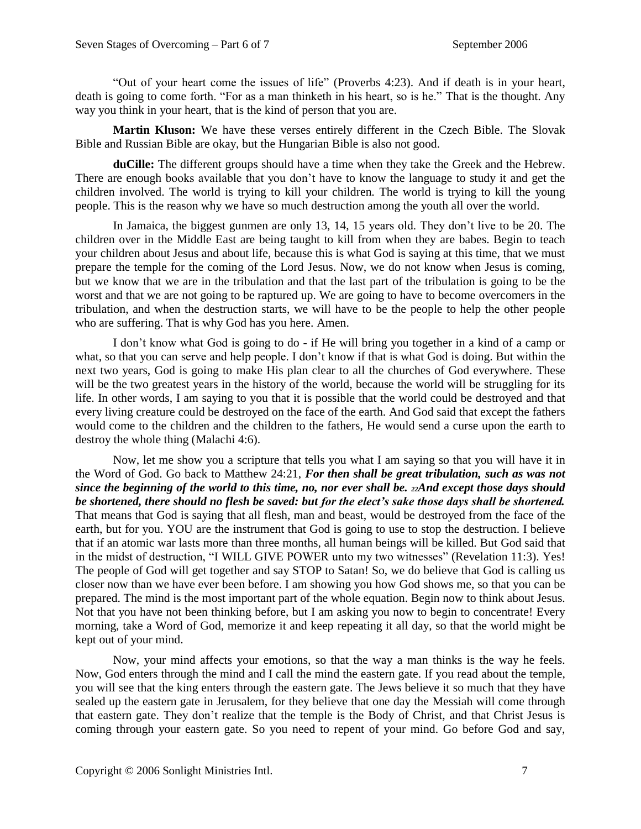"Out of your heart come the issues of life" (Proverbs 4:23). And if death is in your heart, death is going to come forth. "For as a man thinketh in his heart, so is he." That is the thought. Any way you think in your heart, that is the kind of person that you are.

**Martin Kluson:** We have these verses entirely different in the Czech Bible. The Slovak Bible and Russian Bible are okay, but the Hungarian Bible is also not good.

**duCille:** The different groups should have a time when they take the Greek and the Hebrew. There are enough books available that you don't have to know the language to study it and get the children involved. The world is trying to kill your children. The world is trying to kill the young people. This is the reason why we have so much destruction among the youth all over the world.

In Jamaica, the biggest gunmen are only 13, 14, 15 years old. They don't live to be 20. The children over in the Middle East are being taught to kill from when they are babes. Begin to teach your children about Jesus and about life, because this is what God is saying at this time, that we must prepare the temple for the coming of the Lord Jesus. Now, we do not know when Jesus is coming, but we know that we are in the tribulation and that the last part of the tribulation is going to be the worst and that we are not going to be raptured up. We are going to have to become overcomers in the tribulation, and when the destruction starts, we will have to be the people to help the other people who are suffering. That is why God has you here. Amen.

I don't know what God is going to do - if He will bring you together in a kind of a camp or what, so that you can serve and help people. I don't know if that is what God is doing. But within the next two years, God is going to make His plan clear to all the churches of God everywhere. These will be the two greatest years in the history of the world, because the world will be struggling for its life. In other words, I am saying to you that it is possible that the world could be destroyed and that every living creature could be destroyed on the face of the earth. And God said that except the fathers would come to the children and the children to the fathers, He would send a curse upon the earth to destroy the whole thing (Malachi 4:6).

Now, let me show you a scripture that tells you what I am saying so that you will have it in the Word of God. Go back to Matthew 24:21, *For then shall be great tribulation, such as was not since the beginning of the world to this time, no, nor ever shall be. 22And except those days should be shortened, there should no flesh be saved: but for the elect's sake those days shall be shortened.*  That means that God is saying that all flesh, man and beast, would be destroyed from the face of the earth, but for you. YOU are the instrument that God is going to use to stop the destruction. I believe that if an atomic war lasts more than three months, all human beings will be killed. But God said that in the midst of destruction, "I WILL GIVE POWER unto my two witnesses" (Revelation 11:3). Yes! The people of God will get together and say STOP to Satan! So, we do believe that God is calling us closer now than we have ever been before. I am showing you how God shows me, so that you can be prepared. The mind is the most important part of the whole equation. Begin now to think about Jesus. Not that you have not been thinking before, but I am asking you now to begin to concentrate! Every morning, take a Word of God, memorize it and keep repeating it all day, so that the world might be kept out of your mind.

Now, your mind affects your emotions, so that the way a man thinks is the way he feels. Now, God enters through the mind and I call the mind the eastern gate. If you read about the temple, you will see that the king enters through the eastern gate. The Jews believe it so much that they have sealed up the eastern gate in Jerusalem, for they believe that one day the Messiah will come through that eastern gate. They don't realize that the temple is the Body of Christ, and that Christ Jesus is coming through your eastern gate. So you need to repent of your mind. Go before God and say,